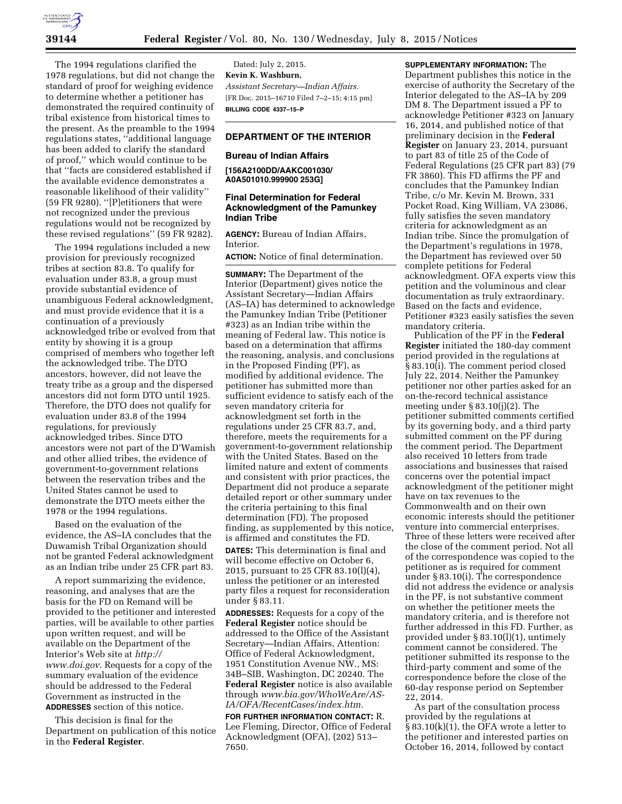The 1994 regulations clarified the 1978 regulations, but did not change the standard of proof for weighing evidence to determine whether a petitioner has demonstrated the required continuity of tribal existence from historical times to the present. As the preamble to the 1994 regulations states, ''additional language has been added to clarify the standard of proof,'' which would continue to be that ''facts are considered established if the available evidence demonstrates a reasonable likelihood of their validity'' (59 FR 9280). ''[P]etitioners that were not recognized under the previous regulations would not be recognized by these revised regulations'' (59 FR 9282).

The 1994 regulations included a new provision for previously recognized tribes at section 83.8. To qualify for evaluation under 83.8, a group must provide substantial evidence of unambiguous Federal acknowledgment, and must provide evidence that it is a continuation of a previously acknowledged tribe or evolved from that entity by showing it is a group comprised of members who together left the acknowledged tribe. The DTO ancestors, however, did not leave the treaty tribe as a group and the dispersed ancestors did not form DTO until 1925. Therefore, the DTO does not qualify for evaluation under 83.8 of the 1994 regulations, for previously acknowledged tribes. Since DTO ancestors were not part of the D'Wamish and other allied tribes, the evidence of government-to-government relations between the reservation tribes and the United States cannot be used to demonstrate the DTO meets either the 1978 or the 1994 regulations.

Based on the evaluation of the evidence, the AS–IA concludes that the Duwamish Tribal Organization should not be granted Federal acknowledgment as an Indian tribe under 25 CFR part 83.

A report summarizing the evidence, reasoning, and analyses that are the basis for the FD on Remand will be provided to the petitioner and interested parties, will be available to other parties upon written request, and will be available on the Department of the Interior's Web site at *[http://](http://www.doi.gov) [www.doi.gov.](http://www.doi.gov)* Requests for a copy of the summary evaluation of the evidence should be addressed to the Federal Government as instructed in the **ADDRESSES** section of this notice.

This decision is final for the Department on publication of this notice in the **Federal Register**.

Dated: July 2, 2015. **Kevin K. Washburn,**  *Assistant Secretary—Indian Affairs.*  [FR Doc. 2015–16710 Filed 7–2–15; 4:15 pm] **BILLING CODE 4337–15–P** 

# **DEPARTMENT OF THE INTERIOR**

## **Bureau of Indian Affairs**

**[156A2100DD/AAKC001030/ A0A501010.999900 253G]** 

### **Final Determination for Federal Acknowledgment of the Pamunkey Indian Tribe**

**AGENCY:** Bureau of Indian Affairs, Interior.

**ACTION:** Notice of final determination.

**SUMMARY:** The Department of the Interior (Department) gives notice the Assistant Secretary—Indian Affairs (AS–IA) has determined to acknowledge the Pamunkey Indian Tribe (Petitioner #323) as an Indian tribe within the meaning of Federal law. This notice is based on a determination that affirms the reasoning, analysis, and conclusions in the Proposed Finding (PF), as modified by additional evidence. The petitioner has submitted more than sufficient evidence to satisfy each of the seven mandatory criteria for acknowledgment set forth in the regulations under 25 CFR 83.7, and, therefore, meets the requirements for a government-to-government relationship with the United States. Based on the limited nature and extent of comments and consistent with prior practices, the Department did not produce a separate detailed report or other summary under the criteria pertaining to this final determination (FD). The proposed finding, as supplemented by this notice, is affirmed and constitutes the FD.

**DATES:** This determination is final and will become effective on October 6, 2015, pursuant to 25 CFR 83.10(l)(4), unless the petitioner or an interested party files a request for reconsideration under § 83.11.

**ADDRESSES:** Requests for a copy of the **Federal Register** notice should be addressed to the Office of the Assistant Secretary—Indian Affairs, Attention: Office of Federal Acknowledgment, 1951 Constitution Avenue NW., MS: 34B–SIB, Washington, DC 20240. The **Federal Register** notice is also available through *[www.bia.gov/WhoWeAre/AS-](http://www.bia.gov/WhoWeAre/AS-IA/OFA/RecentCases/index.htm)[IA/OFA/RecentCases/index.htm.](http://www.bia.gov/WhoWeAre/AS-IA/OFA/RecentCases/index.htm)* 

**FOR FURTHER INFORMATION CONTACT:** R. Lee Fleming, Director, Office of Federal Acknowledgment (OFA), (202) 513– 7650.

**SUPPLEMENTARY INFORMATION:** The Department publishes this notice in the exercise of authority the Secretary of the Interior delegated to the AS–IA by 209 DM 8. The Department issued a PF to acknowledge Petitioner #323 on January 16, 2014, and published notice of that preliminary decision in the **Federal Register** on January 23, 2014, pursuant to part 83 of title 25 of the Code of Federal Regulations (25 CFR part 83) (79 FR 3860). This FD affirms the PF and concludes that the Pamunkey Indian Tribe, c/o Mr. Kevin M. Brown, 331 Pocket Road, King William, VA 23086, fully satisfies the seven mandatory criteria for acknowledgment as an Indian tribe. Since the promulgation of the Department's regulations in 1978, the Department has reviewed over 50 complete petitions for Federal acknowledgment. OFA experts view this petition and the voluminous and clear documentation as truly extraordinary. Based on the facts and evidence, Petitioner #323 easily satisfies the seven mandatory criteria.

Publication of the PF in the **Federal Register** initiated the 180-day comment period provided in the regulations at § 83.10(i). The comment period closed July 22, 2014. Neither the Pamunkey petitioner nor other parties asked for an on-the-record technical assistance meeting under § 83.10(j)(2). The petitioner submitted comments certified by its governing body, and a third party submitted comment on the PF during the comment period. The Department also received 10 letters from trade associations and businesses that raised concerns over the potential impact acknowledgment of the petitioner might have on tax revenues to the Commonwealth and on their own economic interests should the petitioner venture into commercial enterprises. Three of these letters were received after the close of the comment period. Not all of the correspondence was copied to the petitioner as is required for comment under § 83.10(i). The correspondence did not address the evidence or analysis in the PF, is not substantive comment on whether the petitioner meets the mandatory criteria, and is therefore not further addressed in this FD. Further, as provided under § 83.10(l)(1), untimely comment cannot be considered. The petitioner submitted its response to the third-party comment and some of the correspondence before the close of the 60-day response period on September 22, 2014.

As part of the consultation process provided by the regulations at § 83.10(k)(1), the OFA wrote a letter to the petitioner and interested parties on October 16, 2014, followed by contact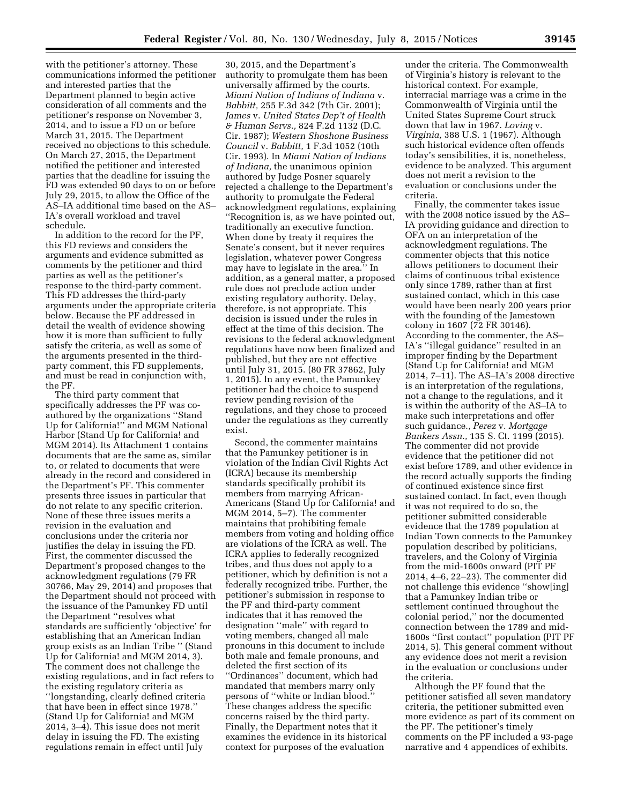with the petitioner's attorney. These communications informed the petitioner and interested parties that the Department planned to begin active consideration of all comments and the petitioner's response on November 3, 2014, and to issue a FD on or before March 31, 2015. The Department received no objections to this schedule. On March 27, 2015, the Department notified the petitioner and interested parties that the deadline for issuing the FD was extended 90 days to on or before July 29, 2015, to allow the Office of the AS–IA additional time based on the AS– IA's overall workload and travel schedule.

In addition to the record for the PF, this FD reviews and considers the arguments and evidence submitted as comments by the petitioner and third parties as well as the petitioner's response to the third-party comment. This FD addresses the third-party arguments under the appropriate criteria below. Because the PF addressed in detail the wealth of evidence showing how it is more than sufficient to fully satisfy the criteria, as well as some of the arguments presented in the thirdparty comment, this FD supplements, and must be read in conjunction with, the PF.

The third party comment that specifically addresses the PF was coauthored by the organizations ''Stand Up for California!'' and MGM National Harbor (Stand Up for California! and MGM 2014). Its Attachment 1 contains documents that are the same as, similar to, or related to documents that were already in the record and considered in the Department's PF. This commenter presents three issues in particular that do not relate to any specific criterion. None of these three issues merits a revision in the evaluation and conclusions under the criteria nor justifies the delay in issuing the FD. First, the commenter discussed the Department's proposed changes to the acknowledgment regulations (79 FR 30766, May 29, 2014) and proposes that the Department should not proceed with the issuance of the Pamunkey FD until the Department ''resolves what standards are sufficiently 'objective' for establishing that an American Indian group exists as an Indian Tribe '' (Stand Up for California! and MGM 2014, 3). The comment does not challenge the existing regulations, and in fact refers to the existing regulatory criteria as ''longstanding, clearly defined criteria that have been in effect since 1978.'' (Stand Up for California! and MGM 2014, 3–4). This issue does not merit delay in issuing the FD. The existing regulations remain in effect until July

30, 2015, and the Department's authority to promulgate them has been universally affirmed by the courts. *Miami Nation of Indians of Indiana* v. *Babbitt,* 255 F.3d 342 (7th Cir. 2001); *James* v. *United States Dep't of Health & Human Servs.,* 824 F.2d 1132 (D.C. Cir. 1987); *Western Shoshone Business Council* v. *Babbitt,* 1 F.3d 1052 (10th Cir. 1993). In *Miami Nation of Indians of Indiana,* the unanimous opinion authored by Judge Posner squarely rejected a challenge to the Department's authority to promulgate the Federal acknowledgment regulations, explaining ''Recognition is, as we have pointed out, traditionally an executive function. When done by treaty it requires the Senate's consent, but it never requires legislation, whatever power Congress may have to legislate in the area.'' In addition, as a general matter, a proposed rule does not preclude action under existing regulatory authority. Delay, therefore, is not appropriate. This decision is issued under the rules in effect at the time of this decision. The revisions to the federal acknowledgment regulations have now been finalized and published, but they are not effective until July 31, 2015. (80 FR 37862, July 1, 2015). In any event, the Pamunkey petitioner had the choice to suspend review pending revision of the regulations, and they chose to proceed under the regulations as they currently exist.

Second, the commenter maintains that the Pamunkey petitioner is in violation of the Indian Civil Rights Act (ICRA) because its membership standards specifically prohibit its members from marrying African-Americans (Stand Up for California! and MGM 2014, 5–7). The commenter maintains that prohibiting female members from voting and holding office are violations of the ICRA as well. The ICRA applies to federally recognized tribes, and thus does not apply to a petitioner, which by definition is not a federally recognized tribe. Further, the petitioner's submission in response to the PF and third-party comment indicates that it has removed the designation ''male'' with regard to voting members, changed all male pronouns in this document to include both male and female pronouns, and deleted the first section of its ''Ordinances'' document, which had mandated that members marry only persons of ''white or Indian blood.'' These changes address the specific concerns raised by the third party. Finally, the Department notes that it examines the evidence in its historical context for purposes of the evaluation

under the criteria. The Commonwealth of Virginia's history is relevant to the historical context. For example, interracial marriage was a crime in the Commonwealth of Virginia until the United States Supreme Court struck down that law in 1967. *Loving* v. *Virginia,* 388 U.S. 1 (1967). Although such historical evidence often offends today's sensibilities, it is, nonetheless, evidence to be analyzed. This argument does not merit a revision to the evaluation or conclusions under the criteria.

Finally, the commenter takes issue with the 2008 notice issued by the AS– IA providing guidance and direction to OFA on an interpretation of the acknowledgment regulations. The commenter objects that this notice allows petitioners to document their claims of continuous tribal existence only since 1789, rather than at first sustained contact, which in this case would have been nearly 200 years prior with the founding of the Jamestown colony in 1607 (72 FR 30146). According to the commenter, the AS– IA's ''illegal guidance'' resulted in an improper finding by the Department (Stand Up for California! and MGM 2014, 7–11). The AS–IA's 2008 directive is an interpretation of the regulations, not a change to the regulations, and it is within the authority of the AS–IA to make such interpretations and offer such guidance., *Perez* v. *Mortgage Bankers Assn.,* 135 S. Ct. 1199 (2015). The commenter did not provide evidence that the petitioner did not exist before 1789, and other evidence in the record actually supports the finding of continued existence since first sustained contact. In fact, even though it was not required to do so, the petitioner submitted considerable evidence that the 1789 population at Indian Town connects to the Pamunkey population described by politicians, travelers, and the Colony of Virginia from the mid-1600s onward (PIT PF 2014, 4–6, 22–23). The commenter did not challenge this evidence ''show[ing] that a Pamunkey Indian tribe or settlement continued throughout the colonial period,'' nor the documented connection between the 1789 and mid-1600s ''first contact'' population (PIT PF 2014, 5). This general comment without any evidence does not merit a revision in the evaluation or conclusions under the criteria.

Although the PF found that the petitioner satisfied all seven mandatory criteria, the petitioner submitted even more evidence as part of its comment on the PF. The petitioner's timely comments on the PF included a 93-page narrative and 4 appendices of exhibits.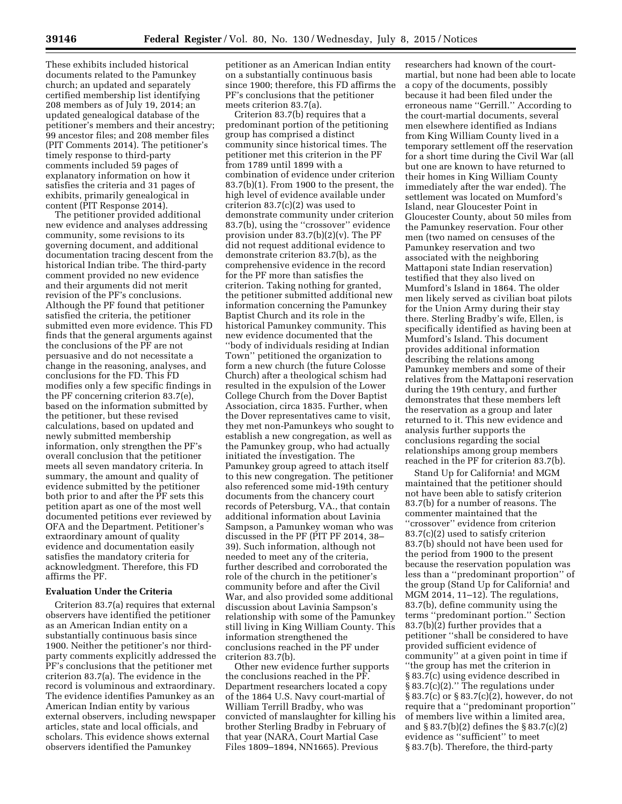These exhibits included historical documents related to the Pamunkey church; an updated and separately certified membership list identifying 208 members as of July 19, 2014; an updated genealogical database of the petitioner's members and their ancestry; 99 ancestor files; and 208 member files (PIT Comments 2014). The petitioner's timely response to third-party comments included 59 pages of explanatory information on how it satisfies the criteria and 31 pages of exhibits, primarily genealogical in content (PIT Response 2014).

The petitioner provided additional new evidence and analyses addressing community, some revisions to its governing document, and additional documentation tracing descent from the historical Indian tribe. The third-party comment provided no new evidence and their arguments did not merit revision of the PF's conclusions. Although the PF found that petitioner satisfied the criteria, the petitioner submitted even more evidence. This FD finds that the general arguments against the conclusions of the PF are not persuasive and do not necessitate a change in the reasoning, analyses, and conclusions for the FD. This FD modifies only a few specific findings in the PF concerning criterion 83.7(e), based on the information submitted by the petitioner, but these revised calculations, based on updated and newly submitted membership information, only strengthen the PF's overall conclusion that the petitioner meets all seven mandatory criteria. In summary, the amount and quality of evidence submitted by the petitioner both prior to and after the PF sets this petition apart as one of the most well documented petitions ever reviewed by OFA and the Department. Petitioner's extraordinary amount of quality evidence and documentation easily satisfies the mandatory criteria for acknowledgment. Therefore, this FD affirms the PF.

#### **Evaluation Under the Criteria**

Criterion 83.7(a) requires that external observers have identified the petitioner as an American Indian entity on a substantially continuous basis since 1900. Neither the petitioner's nor thirdparty comments explicitly addressed the PF's conclusions that the petitioner met criterion 83.7(a). The evidence in the record is voluminous and extraordinary. The evidence identifies Pamunkey as an American Indian entity by various external observers, including newspaper articles, state and local officials, and scholars. This evidence shows external observers identified the Pamunkey

petitioner as an American Indian entity on a substantially continuous basis since 1900; therefore, this FD affirms the PF's conclusions that the petitioner meets criterion 83.7(a).

Criterion 83.7(b) requires that a predominant portion of the petitioning group has comprised a distinct community since historical times. The petitioner met this criterion in the PF from 1789 until 1899 with a combination of evidence under criterion 83.7(b)(1). From 1900 to the present, the high level of evidence available under criterion 83.7(c)(2) was used to demonstrate community under criterion 83.7(b), using the ''crossover'' evidence provision under 83.7(b)(2)(v). The PF did not request additional evidence to demonstrate criterion 83.7(b), as the comprehensive evidence in the record for the PF more than satisfies the criterion. Taking nothing for granted, the petitioner submitted additional new information concerning the Pamunkey Baptist Church and its role in the historical Pamunkey community. This new evidence documented that the ''body of individuals residing at Indian Town'' petitioned the organization to form a new church (the future Colosse Church) after a theological schism had resulted in the expulsion of the Lower College Church from the Dover Baptist Association, circa 1835. Further, when the Dover representatives came to visit, they met non-Pamunkeys who sought to establish a new congregation, as well as the Pamunkey group, who had actually initiated the investigation. The Pamunkey group agreed to attach itself to this new congregation. The petitioner also referenced some mid-19th century documents from the chancery court records of Petersburg, VA., that contain additional information about Lavinia Sampson, a Pamunkey woman who was discussed in the PF (PIT PF 2014, 38– 39). Such information, although not needed to meet any of the criteria, further described and corroborated the role of the church in the petitioner's community before and after the Civil War, and also provided some additional discussion about Lavinia Sampson's relationship with some of the Pamunkey still living in King William County. This information strengthened the conclusions reached in the PF under criterion 83.7(b).

Other new evidence further supports the conclusions reached in the PF. Department researchers located a copy of the 1864 U.S. Navy court-martial of William Terrill Bradby, who was convicted of manslaughter for killing his brother Sterling Bradby in February of that year (NARA, Court Martial Case Files 1809–1894, NN1665). Previous

researchers had known of the courtmartial, but none had been able to locate a copy of the documents, possibly because it had been filed under the erroneous name ''Gerrill.'' According to the court-martial documents, several men elsewhere identified as Indians from King William County lived in a temporary settlement off the reservation for a short time during the Civil War (all but one are known to have returned to their homes in King William County immediately after the war ended). The settlement was located on Mumford's Island, near Gloucester Point in Gloucester County, about 50 miles from the Pamunkey reservation. Four other men (two named on censuses of the Pamunkey reservation and two associated with the neighboring Mattaponi state Indian reservation) testified that they also lived on Mumford's Island in 1864. The older men likely served as civilian boat pilots for the Union Army during their stay there. Sterling Bradby's wife, Ellen, is specifically identified as having been at Mumford's Island. This document provides additional information describing the relations among Pamunkey members and some of their relatives from the Mattaponi reservation during the 19th century, and further demonstrates that these members left the reservation as a group and later returned to it. This new evidence and analysis further supports the conclusions regarding the social relationships among group members reached in the PF for criterion 83.7(b).

Stand Up for California! and MGM maintained that the petitioner should not have been able to satisfy criterion 83.7(b) for a number of reasons. The commenter maintained that the "crossover" evidence from criterion 83.7(c)(2) used to satisfy criterion 83.7(b) should not have been used for the period from 1900 to the present because the reservation population was less than a ''predominant proportion'' of the group (Stand Up for California! and MGM 2014, 11–12). The regulations, 83.7(b), define community using the terms ''predominant portion.'' Section 83.7(b)(2) further provides that a petitioner ''shall be considered to have provided sufficient evidence of community'' at a given point in time if ''the group has met the criterion in § 83.7(c) using evidence described in § 83.7(c)(2).'' The regulations under § 83.7(c) or § 83.7(c)(2), however, do not require that a ''predominant proportion'' of members live within a limited area, and § 83.7(b)(2) defines the § 83.7(c)(2) evidence as ''sufficient'' to meet § 83.7(b). Therefore, the third-party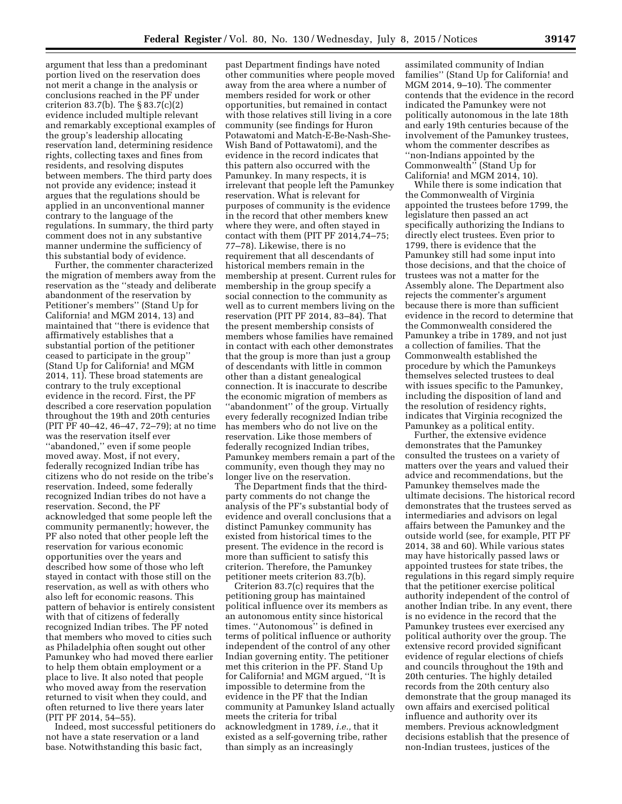argument that less than a predominant portion lived on the reservation does not merit a change in the analysis or conclusions reached in the PF under criterion 83.7(b). The § 83.7(c)(2) evidence included multiple relevant and remarkably exceptional examples of the group's leadership allocating reservation land, determining residence rights, collecting taxes and fines from residents, and resolving disputes between members. The third party does not provide any evidence; instead it argues that the regulations should be applied in an unconventional manner contrary to the language of the regulations. In summary, the third party comment does not in any substantive manner undermine the sufficiency of this substantial body of evidence.

Further, the commenter characterized the migration of members away from the reservation as the ''steady and deliberate abandonment of the reservation by Petitioner's members'' (Stand Up for California! and MGM 2014, 13) and maintained that ''there is evidence that affirmatively establishes that a substantial portion of the petitioner ceased to participate in the group'' (Stand Up for California! and MGM 2014, 11). These broad statements are contrary to the truly exceptional evidence in the record. First, the PF described a core reservation population throughout the 19th and 20th centuries (PIT PF 40–42, 46–47, 72–79); at no time was the reservation itself ever ''abandoned,'' even if some people moved away. Most, if not every, federally recognized Indian tribe has citizens who do not reside on the tribe's reservation. Indeed, some federally recognized Indian tribes do not have a reservation. Second, the PF acknowledged that some people left the community permanently; however, the PF also noted that other people left the reservation for various economic opportunities over the years and described how some of those who left stayed in contact with those still on the reservation, as well as with others who also left for economic reasons. This pattern of behavior is entirely consistent with that of citizens of federally recognized Indian tribes. The PF noted that members who moved to cities such as Philadelphia often sought out other Pamunkey who had moved there earlier to help them obtain employment or a place to live. It also noted that people who moved away from the reservation returned to visit when they could, and often returned to live there years later (PIT PF 2014, 54–55).

Indeed, most successful petitioners do not have a state reservation or a land base. Notwithstanding this basic fact,

past Department findings have noted other communities where people moved away from the area where a number of members resided for work or other opportunities, but remained in contact with those relatives still living in a core community (see findings for Huron Potawatomi and Match-E-Be-Nash-She-Wish Band of Pottawatomi), and the evidence in the record indicates that this pattern also occurred with the Pamunkey. In many respects, it is irrelevant that people left the Pamunkey reservation. What is relevant for purposes of community is the evidence in the record that other members knew where they were, and often stayed in contact with them (PIT PF 2014,74–75; 77–78). Likewise, there is no requirement that all descendants of historical members remain in the membership at present. Current rules for membership in the group specify a social connection to the community as well as to current members living on the reservation (PIT PF 2014, 83–84). That the present membership consists of members whose families have remained in contact with each other demonstrates that the group is more than just a group of descendants with little in common other than a distant genealogical connection. It is inaccurate to describe the economic migration of members as ''abandonment'' of the group. Virtually every federally recognized Indian tribe has members who do not live on the reservation. Like those members of federally recognized Indian tribes, Pamunkey members remain a part of the community, even though they may no longer live on the reservation.

The Department finds that the thirdparty comments do not change the analysis of the PF's substantial body of evidence and overall conclusions that a distinct Pamunkey community has existed from historical times to the present. The evidence in the record is more than sufficient to satisfy this criterion. Therefore, the Pamunkey petitioner meets criterion 83.7(b).

Criterion 83.7(c) requires that the petitioning group has maintained political influence over its members as an autonomous entity since historical times. ''Autonomous'' is defined in terms of political influence or authority independent of the control of any other Indian governing entity. The petitioner met this criterion in the PF. Stand Up for California! and MGM argued, ''It is impossible to determine from the evidence in the PF that the Indian community at Pamunkey Island actually meets the criteria for tribal acknowledgment in 1789, *i.e.,* that it existed as a self-governing tribe, rather than simply as an increasingly

assimilated community of Indian families'' (Stand Up for California! and MGM 2014, 9–10). The commenter contends that the evidence in the record indicated the Pamunkey were not politically autonomous in the late 18th and early 19th centuries because of the involvement of the Pamunkey trustees, whom the commenter describes as ''non-Indians appointed by the Commonwealth'' (Stand Up for California! and MGM 2014, 10).

While there is some indication that the Commonwealth of Virginia appointed the trustees before 1799, the legislature then passed an act specifically authorizing the Indians to directly elect trustees. Even prior to 1799, there is evidence that the Pamunkey still had some input into those decisions, and that the choice of trustees was not a matter for the Assembly alone. The Department also rejects the commenter's argument because there is more than sufficient evidence in the record to determine that the Commonwealth considered the Pamunkey a tribe in 1789, and not just a collection of families. That the Commonwealth established the procedure by which the Pamunkeys themselves selected trustees to deal with issues specific to the Pamunkey, including the disposition of land and the resolution of residency rights, indicates that Virginia recognized the Pamunkey as a political entity.

Further, the extensive evidence demonstrates that the Pamunkey consulted the trustees on a variety of matters over the years and valued their advice and recommendations, but the Pamunkey themselves made the ultimate decisions. The historical record demonstrates that the trustees served as intermediaries and advisors on legal affairs between the Pamunkey and the outside world (see, for example, PIT PF 2014, 38 and 60). While various states may have historically passed laws or appointed trustees for state tribes, the regulations in this regard simply require that the petitioner exercise political authority independent of the control of another Indian tribe. In any event, there is no evidence in the record that the Pamunkey trustees ever exercised any political authority over the group. The extensive record provided significant evidence of regular elections of chiefs and councils throughout the 19th and 20th centuries. The highly detailed records from the 20th century also demonstrate that the group managed its own affairs and exercised political influence and authority over its members. Previous acknowledgment decisions establish that the presence of non-Indian trustees, justices of the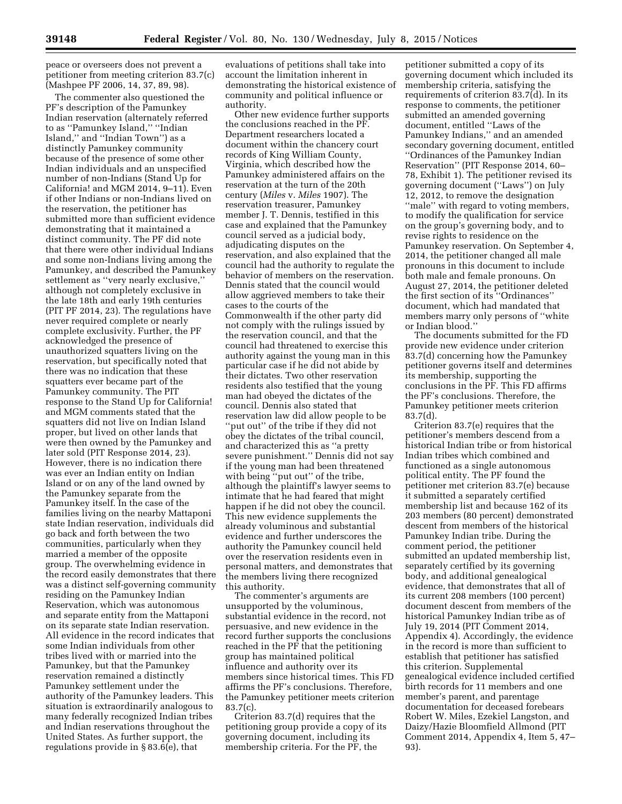peace or overseers does not prevent a petitioner from meeting criterion 83.7(c) (Mashpee PF 2006, 14, 37, 89, 98).

The commenter also questioned the PF's description of the Pamunkey Indian reservation (alternately referred to as ''Pamunkey Island,'' ''Indian Island,'' and ''Indian Town'') as a distinctly Pamunkey community because of the presence of some other Indian individuals and an unspecified number of non-Indians (Stand Up for California! and MGM 2014, 9–11). Even if other Indians or non-Indians lived on the reservation, the petitioner has submitted more than sufficient evidence demonstrating that it maintained a distinct community. The PF did note that there were other individual Indians and some non-Indians living among the Pamunkey, and described the Pamunkey settlement as ''very nearly exclusive,'' although not completely exclusive in the late 18th and early 19th centuries (PIT PF 2014, 23). The regulations have never required complete or nearly complete exclusivity. Further, the PF acknowledged the presence of unauthorized squatters living on the reservation, but specifically noted that there was no indication that these squatters ever became part of the Pamunkey community. The PIT response to the Stand Up for California! and MGM comments stated that the squatters did not live on Indian Island proper, but lived on other lands that were then owned by the Pamunkey and later sold (PIT Response 2014, 23). However, there is no indication there was ever an Indian entity on Indian Island or on any of the land owned by the Pamunkey separate from the Pamunkey itself. In the case of the families living on the nearby Mattaponi state Indian reservation, individuals did go back and forth between the two communities, particularly when they married a member of the opposite group. The overwhelming evidence in the record easily demonstrates that there was a distinct self-governing community residing on the Pamunkey Indian Reservation, which was autonomous and separate entity from the Mattaponi on its separate state Indian reservation. All evidence in the record indicates that some Indian individuals from other tribes lived with or married into the Pamunkey, but that the Pamunkey reservation remained a distinctly Pamunkey settlement under the authority of the Pamunkey leaders. This situation is extraordinarily analogous to many federally recognized Indian tribes and Indian reservations throughout the United States. As further support, the regulations provide in § 83.6(e), that

evaluations of petitions shall take into account the limitation inherent in demonstrating the historical existence of community and political influence or authority.

Other new evidence further supports the conclusions reached in the PF. Department researchers located a document within the chancery court records of King William County, Virginia, which described how the Pamunkey administered affairs on the reservation at the turn of the 20th century (*Miles* v. *Miles* 1907). The reservation treasurer, Pamunkey member J. T. Dennis, testified in this case and explained that the Pamunkey council served as a judicial body, adjudicating disputes on the reservation, and also explained that the council had the authority to regulate the behavior of members on the reservation. Dennis stated that the council would allow aggrieved members to take their cases to the courts of the Commonwealth if the other party did not comply with the rulings issued by the reservation council, and that the council had threatened to exercise this authority against the young man in this particular case if he did not abide by their dictates. Two other reservation residents also testified that the young man had obeyed the dictates of the council. Dennis also stated that reservation law did allow people to be ''put out'' of the tribe if they did not obey the dictates of the tribal council, and characterized this as ''a pretty severe punishment.'' Dennis did not say if the young man had been threatened with being ''put out'' of the tribe, although the plaintiff's lawyer seems to intimate that he had feared that might happen if he did not obey the council. This new evidence supplements the already voluminous and substantial evidence and further underscores the authority the Pamunkey council held over the reservation residents even in personal matters, and demonstrates that the members living there recognized this authority.

The commenter's arguments are unsupported by the voluminous, substantial evidence in the record, not persuasive, and new evidence in the record further supports the conclusions reached in the PF that the petitioning group has maintained political influence and authority over its members since historical times. This FD affirms the PF's conclusions. Therefore, the Pamunkey petitioner meets criterion 83.7(c).

Criterion 83.7(d) requires that the petitioning group provide a copy of its governing document, including its membership criteria. For the PF, the

petitioner submitted a copy of its governing document which included its membership criteria, satisfying the requirements of criterion 83.7(d). In its response to comments, the petitioner submitted an amended governing document, entitled ''Laws of the Pamunkey Indians,'' and an amended secondary governing document, entitled ''Ordinances of the Pamunkey Indian Reservation'' (PIT Response 2014, 60– 78, Exhibit 1). The petitioner revised its governing document (''Laws'') on July 12, 2012, to remove the designation ''male'' with regard to voting members, to modify the qualification for service on the group's governing body, and to revise rights to residence on the Pamunkey reservation. On September 4, 2014, the petitioner changed all male pronouns in this document to include both male and female pronouns. On August 27, 2014, the petitioner deleted the first section of its ''Ordinances'' document, which had mandated that members marry only persons of ''white or Indian blood.''

The documents submitted for the FD provide new evidence under criterion 83.7(d) concerning how the Pamunkey petitioner governs itself and determines its membership, supporting the conclusions in the PF. This FD affirms the PF's conclusions. Therefore, the Pamunkey petitioner meets criterion 83.7(d).

Criterion 83.7(e) requires that the petitioner's members descend from a historical Indian tribe or from historical Indian tribes which combined and functioned as a single autonomous political entity. The PF found the petitioner met criterion 83.7(e) because it submitted a separately certified membership list and because 162 of its 203 members (80 percent) demonstrated descent from members of the historical Pamunkey Indian tribe. During the comment period, the petitioner submitted an updated membership list, separately certified by its governing body, and additional genealogical evidence, that demonstrates that all of its current 208 members (100 percent) document descent from members of the historical Pamunkey Indian tribe as of July 19, 2014 (PIT Comment 2014, Appendix 4). Accordingly, the evidence in the record is more than sufficient to establish that petitioner has satisfied this criterion. Supplemental genealogical evidence included certified birth records for 11 members and one member's parent, and parentage documentation for deceased forebears Robert W. Miles, Ezekiel Langston, and Daizy/Hazie Bloomfield Allmond (PIT Comment 2014, Appendix 4, Item 5, 47– 93).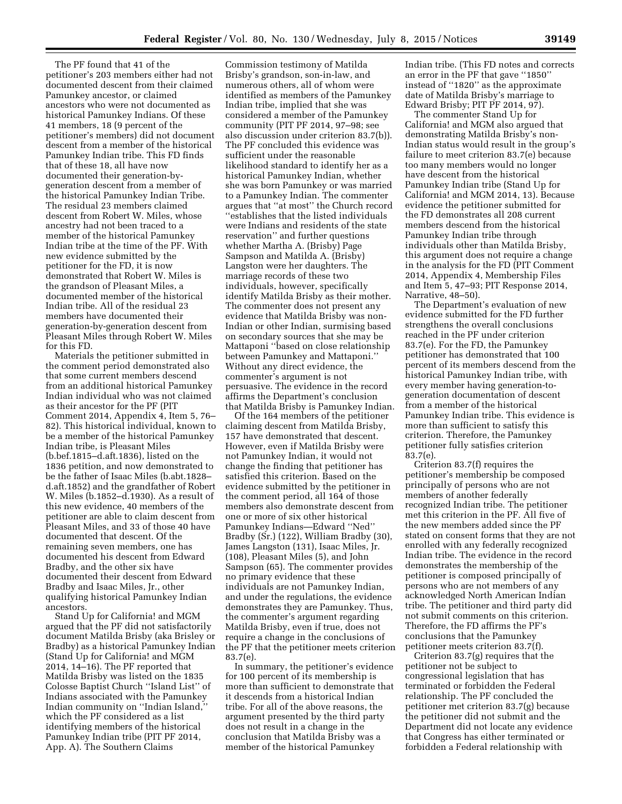The PF found that 41 of the petitioner's 203 members either had not documented descent from their claimed Pamunkey ancestor, or claimed ancestors who were not documented as historical Pamunkey Indians. Of these 41 members, 18 (9 percent of the petitioner's members) did not document descent from a member of the historical Pamunkey Indian tribe. This FD finds that of these 18, all have now documented their generation-bygeneration descent from a member of the historical Pamunkey Indian Tribe. The residual 23 members claimed descent from Robert W. Miles, whose ancestry had not been traced to a member of the historical Pamunkey Indian tribe at the time of the PF. With new evidence submitted by the petitioner for the FD, it is now demonstrated that Robert W. Miles is the grandson of Pleasant Miles, a documented member of the historical Indian tribe. All of the residual 23 members have documented their generation-by-generation descent from Pleasant Miles through Robert W. Miles for this FD.

Materials the petitioner submitted in the comment period demonstrated also that some current members descend from an additional historical Pamunkey Indian individual who was not claimed as their ancestor for the PF (PIT Comment 2014, Appendix 4, Item 5, 76– 82). This historical individual, known to be a member of the historical Pamunkey Indian tribe, is Pleasant Miles (b.bef.1815–d.aft.1836), listed on the 1836 petition, and now demonstrated to be the father of Isaac Miles (b.abt.1828– d.aft.1852) and the grandfather of Robert W. Miles (b.1852–d.1930). As a result of this new evidence, 40 members of the petitioner are able to claim descent from Pleasant Miles, and 33 of those 40 have documented that descent. Of the remaining seven members, one has documented his descent from Edward Bradby, and the other six have documented their descent from Edward Bradby and Isaac Miles, Jr., other qualifying historical Pamunkey Indian ancestors.

Stand Up for California! and MGM argued that the PF did not satisfactorily document Matilda Brisby (aka Brisley or Bradby) as a historical Pamunkey Indian (Stand Up for California! and MGM 2014, 14–16). The PF reported that Matilda Brisby was listed on the 1835 Colosse Baptist Church ''Island List'' of Indians associated with the Pamunkey Indian community on ''Indian Island,'' which the PF considered as a list identifying members of the historical Pamunkey Indian tribe (PIT PF 2014, App. A). The Southern Claims

Commission testimony of Matilda Brisby's grandson, son-in-law, and numerous others, all of whom were identified as members of the Pamunkey Indian tribe, implied that she was considered a member of the Pamunkey community (PIT PF 2014, 97–98; see also discussion under criterion 83.7(b)). The PF concluded this evidence was sufficient under the reasonable likelihood standard to identify her as a historical Pamunkey Indian, whether she was born Pamunkey or was married to a Pamunkey Indian. The commenter argues that ''at most'' the Church record ''establishes that the listed individuals were Indians and residents of the state reservation'' and further questions whether Martha A. (Brisby) Page Sampson and Matilda A. (Brisby) Langston were her daughters. The marriage records of these two individuals, however, specifically identify Matilda Brisby as their mother. The commenter does not present any evidence that Matilda Brisby was non-Indian or other Indian, surmising based on secondary sources that she may be Mattaponi ''based on close relationship between Pamunkey and Mattaponi.'' Without any direct evidence, the commenter's argument is not persuasive. The evidence in the record affirms the Department's conclusion that Matilda Brisby is Pamunkey Indian.

Of the 164 members of the petitioner claiming descent from Matilda Brisby, 157 have demonstrated that descent. However, even if Matilda Brisby were not Pamunkey Indian, it would not change the finding that petitioner has satisfied this criterion. Based on the evidence submitted by the petitioner in the comment period, all 164 of those members also demonstrate descent from one or more of six other historical Pamunkey Indians—Edward ''Ned'' Bradby (Sr.) (122), William Bradby (30), James Langston (131), Isaac Miles, Jr. (108), Pleasant Miles (5), and John Sampson (65). The commenter provides no primary evidence that these individuals are not Pamunkey Indian, and under the regulations, the evidence demonstrates they are Pamunkey. Thus, the commenter's argument regarding Matilda Brisby, even if true, does not require a change in the conclusions of the PF that the petitioner meets criterion 83.7(e).

In summary, the petitioner's evidence for 100 percent of its membership is more than sufficient to demonstrate that it descends from a historical Indian tribe. For all of the above reasons, the argument presented by the third party does not result in a change in the conclusion that Matilda Brisby was a member of the historical Pamunkey

Indian tribe. (This FD notes and corrects an error in the PF that gave ''1850'' instead of ''1820'' as the approximate date of Matilda Brisby's marriage to Edward Brisby; PIT PF 2014, 97).

The commenter Stand Up for California! and MGM also argued that demonstrating Matilda Brisby's non-Indian status would result in the group's failure to meet criterion 83.7(e) because too many members would no longer have descent from the historical Pamunkey Indian tribe (Stand Up for California! and MGM 2014, 13). Because evidence the petitioner submitted for the FD demonstrates all 208 current members descend from the historical Pamunkey Indian tribe through individuals other than Matilda Brisby, this argument does not require a change in the analysis for the FD (PIT Comment 2014, Appendix 4, Membership Files and Item 5, 47–93; PIT Response 2014, Narrative, 48–50).

The Department's evaluation of new evidence submitted for the FD further strengthens the overall conclusions reached in the PF under criterion 83.7(e). For the FD, the Pamunkey petitioner has demonstrated that 100 percent of its members descend from the historical Pamunkey Indian tribe, with every member having generation-togeneration documentation of descent from a member of the historical Pamunkey Indian tribe. This evidence is more than sufficient to satisfy this criterion. Therefore, the Pamunkey petitioner fully satisfies criterion 83.7(e).

Criterion 83.7(f) requires the petitioner's membership be composed principally of persons who are not members of another federally recognized Indian tribe. The petitioner met this criterion in the PF. All five of the new members added since the PF stated on consent forms that they are not enrolled with any federally recognized Indian tribe. The evidence in the record demonstrates the membership of the petitioner is composed principally of persons who are not members of any acknowledged North American Indian tribe. The petitioner and third party did not submit comments on this criterion. Therefore, the FD affirms the PF's conclusions that the Pamunkey petitioner meets criterion 83.7(f).

Criterion 83.7(g) requires that the petitioner not be subject to congressional legislation that has terminated or forbidden the Federal relationship. The PF concluded the petitioner met criterion 83.7(g) because the petitioner did not submit and the Department did not locate any evidence that Congress has either terminated or forbidden a Federal relationship with